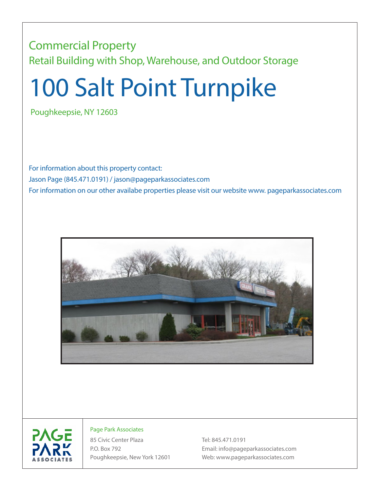## Commercial Property Retail Building with Shop, Warehouse, and Outdoor Storage

## 100 Salt Point Turnpike

Poughkeepsie, NY 12603

For information about this property contact: Jason Page (845.471.0191) / jason@pageparkassociates.com For information on our other availabe properties please visit our website www. pageparkassociates.com





## Page Park Associates

85 Civic Center Plaza Tel: 845.471.0191

P.O. Box 792 Email: info@pageparkassociates.com Poughkeepsie, New York 12601 Web: www.pageparkassociates.com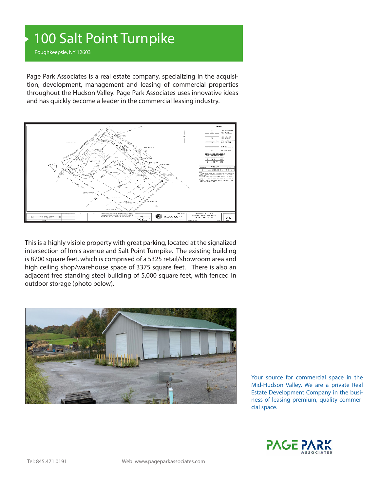## 100 Salt Point Turnpike

Poughkeepsie, NY 12603

Page Park Associates is a real estate company, specializing in the acquisition, development, management and leasing of commercial properties throughout the Hudson Valley. Page Park Associates uses innovative ideas and has quickly become a leader in the commercial leasing industry.



This is a highly visible property with great parking, located at the signalized intersection of Innis avenue and Salt Point Turnpike. The existing building is 8700 square feet, which is comprised of a 5325 retail/showroom area and high ceiling shop/warehouse space of 3375 square feet. There is also an adjacent free standing steel building of 5,000 square feet, with fenced in outdoor storage (photo below).



Your source for commercial space in the Mid-Hudson Valley. We are a private Real Estate Development Company in the business of leasing premium, quality commercial space.